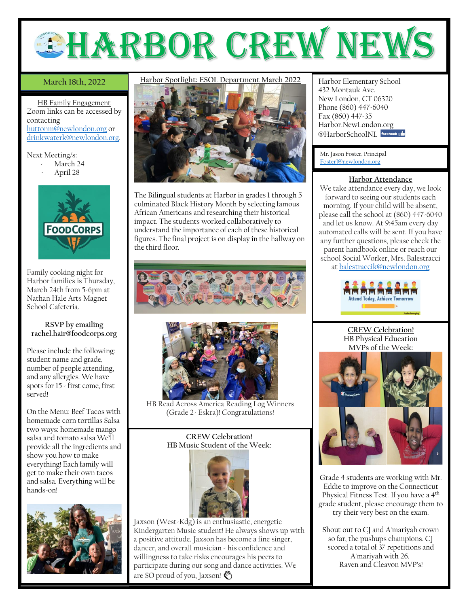

# **March 18th, 2022**

HB Family Engagement Zoom links can be accessed by contacting [huttonm@newlondon.org](mailto:huttonm@newlondon.org) or [drinkwaterk@newlondon.org.](mailto:drinkwaterk@newlondon.org)

Next Meeting/s:

- March 24
- April 28



Family cooking night for Harbor families is Thursday, March 24th from 5-6pm at Nathan Hale Arts Magnet School Cafeteria.

## **RSVP by emailing rachel.hair@foodcorps.org**

Please include the following: student name and grade, number of people attending, and any allergies. We have spots for 15 - first come, first served!

On the Menu: Beef Tacos with homemade corn tortillas Salsa two ways: homemade mango salsa and tomato salsa We'll provide all the ingredients and show you how to make everything! Each family will get to make their own tacos and salsa. Everything will be hands-on!



# March 18th, 2022 Harbor Spotlight: ESOL Department March 2022 Harbor Elementary School



The Bilingual students at Harbor in grades 1 through 5 culminated Black History Month by selecting famous African Americans and researching their historical impact. The students worked collaboratively to understand the importance of each of these historical figures. The final project is on display in the hallway on the third floor.





HB Read Across America Reading Log Winners (Grade 2- Eskra)! Congratulations!

#### **CREW Celebration! HB Music Student of the Week:**



Jaxson (West-Kdg) is an enthusiastic, energetic Kindergarten Music student! He always shows up with a positive attitude. Jaxson has become a fine singer, dancer, and overall musician - his confidence and willingness to take risks encourages his peers to participate during our song and dance activities. We are SO proud of you, Jaxson!

432 Montauk Ave. New London, CT 06320 Phone (860) 447-6040 Fax (860) 447-35 Harbor.NewLondon.org @HarborSchoolNI Facebook

Mr. Jason Foster, Principal [FosterJ@newlondon.org](mailto:FosterJ@newlondon.org)

### **Harbor Attendance**

We take attendance every day, we look forward to seeing our students each morning. If your child will be absent, please call the school at (860) 447-6040 and let us know. At 9:45am every day automated calls will be sent. If you have any further questions, please check the parent handbook online or reach our school Social Worker, Mrs. Balestracci at [balestraccik@newlondon.org](mailto:balestraccik@newlondon.org)



**CREW Celebration! HB Physical Education MVPs of the Week:**



Grade 4 students are working with Mr. Eddie to improve on the Connecticut Physical Fitness Test. If you have a 4th grade student, please encourage them to try their very best on the exam.

Shout out to CJ and A'mariyah crown so far, the pushups champions. CJ scored a total of 37 repetitions and A'mariyah with 26. Raven and Cleavon MVP's!